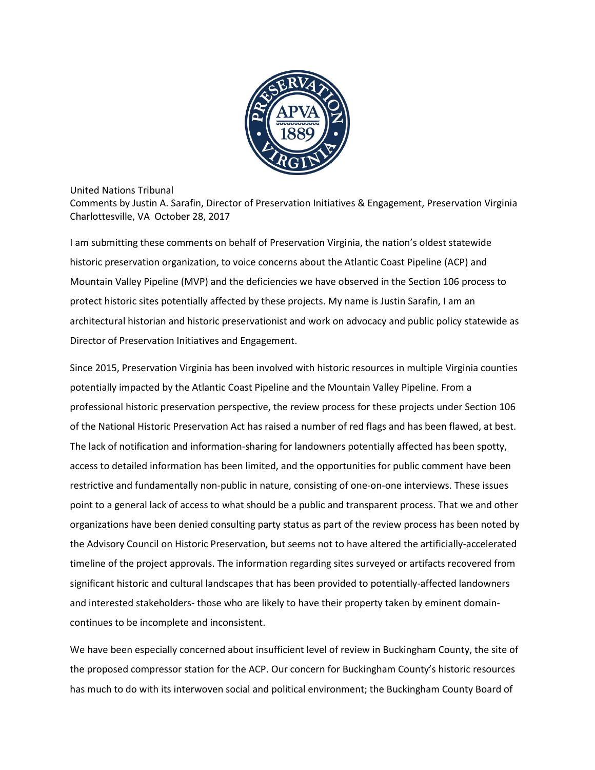

United Nations Tribunal

Comments by Justin A. Sarafin, Director of Preservation Initiatives & Engagement, Preservation Virginia Charlottesville, VA October 28, 2017

I am submitting these comments on behalf of Preservation Virginia, the nation's oldest statewide historic preservation organization, to voice concerns about the Atlantic Coast Pipeline (ACP) and Mountain Valley Pipeline (MVP) and the deficiencies we have observed in the Section 106 process to protect historic sites potentially affected by these projects. My name is Justin Sarafin, I am an architectural historian and historic preservationist and work on advocacy and public policy statewide as Director of Preservation Initiatives and Engagement.

Since 2015, Preservation Virginia has been involved with historic resources in multiple Virginia counties potentially impacted by the Atlantic Coast Pipeline and the Mountain Valley Pipeline. From a professional historic preservation perspective, the review process for these projects under Section 106 of the National Historic Preservation Act has raised a number of red flags and has been flawed, at best. The lack of notification and information-sharing for landowners potentially affected has been spotty, access to detailed information has been limited, and the opportunities for public comment have been restrictive and fundamentally non-public in nature, consisting of one-on-one interviews. These issues point to a general lack of access to what should be a public and transparent process. That we and other organizations have been denied consulting party status as part of the review process has been noted by the Advisory Council on Historic Preservation, but seems not to have altered the artificially-accelerated timeline of the project approvals. The information regarding sites surveyed or artifacts recovered from significant historic and cultural landscapes that has been provided to potentially-affected landowners and interested stakeholders- those who are likely to have their property taken by eminent domaincontinues to be incomplete and inconsistent.

We have been especially concerned about insufficient level of review in Buckingham County, the site of the proposed compressor station for the ACP. Our concern for Buckingham County's historic resources has much to do with its interwoven social and political environment; the Buckingham County Board of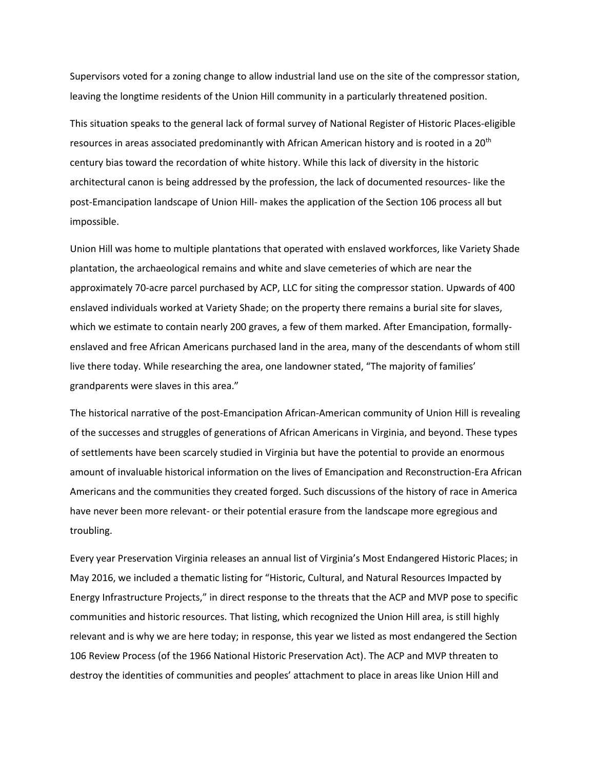Supervisors voted for a zoning change to allow industrial land use on the site of the compressor station, leaving the longtime residents of the Union Hill community in a particularly threatened position.

This situation speaks to the general lack of formal survey of National Register of Historic Places-eligible resources in areas associated predominantly with African American history and is rooted in a 20th century bias toward the recordation of white history. While this lack of diversity in the historic architectural canon is being addressed by the profession, the lack of documented resources- like the post-Emancipation landscape of Union Hill- makes the application of the Section 106 process all but impossible.

Union Hill was home to multiple plantations that operated with enslaved workforces, like Variety Shade plantation, the archaeological remains and white and slave cemeteries of which are near the approximately 70-acre parcel purchased by ACP, LLC for siting the compressor station. Upwards of 400 enslaved individuals worked at Variety Shade; on the property there remains a burial site for slaves, which we estimate to contain nearly 200 graves, a few of them marked. After Emancipation, formallyenslaved and free African Americans purchased land in the area, many of the descendants of whom still live there today. While researching the area, one landowner stated, "The majority of families' grandparents were slaves in this area."

The historical narrative of the post-Emancipation African-American community of Union Hill is revealing of the successes and struggles of generations of African Americans in Virginia, and beyond. These types of settlements have been scarcely studied in Virginia but have the potential to provide an enormous amount of invaluable historical information on the lives of Emancipation and Reconstruction-Era African Americans and the communities they created forged. Such discussions of the history of race in America have never been more relevant- or their potential erasure from the landscape more egregious and troubling.

Every year Preservation Virginia releases an annual list of Virginia's Most Endangered Historic Places; in May 2016, we included a thematic listing for "Historic, Cultural, and Natural Resources Impacted by Energy Infrastructure Projects," in direct response to the threats that the ACP and MVP pose to specific communities and historic resources. That listing, which recognized the Union Hill area, is still highly relevant and is why we are here today; in response, this year we listed as most endangered the Section 106 Review Process (of the 1966 National Historic Preservation Act). The ACP and MVP threaten to destroy the identities of communities and peoples' attachment to place in areas like Union Hill and